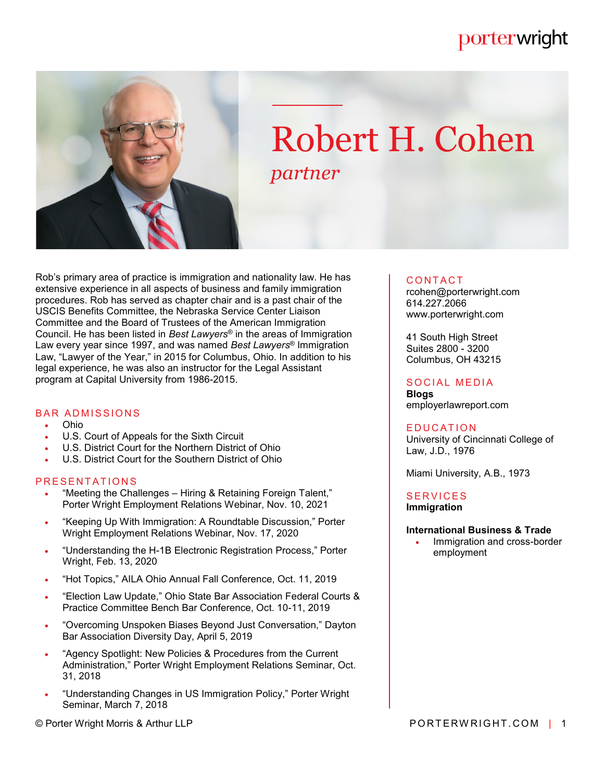# porterwright



# Robert H. Cohen *partner*

Rob's primary area of practice is immigration and nationality law. He has extensive experience in all aspects of business and family immigration procedures. Rob has served as chapter chair and is a past chair of the USCIS Benefits Committee, the Nebraska Service Center Liaison Committee and the Board of Trustees of the American Immigration Council. He has been listed in *Best Lawyers*® in the areas of Immigration Law every year since 1997, and was named *Best Lawyers*® Immigration Law, "Lawyer of the Year," in 2015 for Columbus, Ohio. In addition to his legal experience, he was also an instructor for the Legal Assistant program at Capital University from 1986-2015.

### **BAR ADMISSIONS**

- Ohio
- U.S. Court of Appeals for the Sixth Circuit
- U.S. District Court for the Northern District of Ohio
- U.S. District Court for the Southern District of Ohio

## PRESENTATIONS

- "Meeting the Challenges Hiring & Retaining Foreign Talent," Porter Wright Employment Relations Webinar, Nov. 10, 2021
- . "Keeping Up With Immigration: A Roundtable Discussion," Porter Wright Employment Relations Webinar, Nov. 17, 2020
- "Understanding the H-1B Electronic Registration Process," Porter Wright, Feb. 13, 2020
- "Hot Topics," AILA Ohio Annual Fall Conference, Oct. 11, 2019
- "Election Law Update," Ohio State Bar Association Federal Courts & Practice Committee Bench Bar Conference, Oct. 10-11, 2019
- "Overcoming Unspoken Biases Beyond Just Conversation," Dayton Bar Association Diversity Day, April 5, 2019
- "Agency Spotlight: New Policies & Procedures from the Current Administration," Porter Wright Employment Relations Seminar, Oct. 31, 2018
- "Understanding Changes in US Immigration Policy," Porter Wright Seminar, March 7, 2018

#### © Porter Wright Morris & Arthur LLP **PORTERWRIGHT.COM** | 1

#### **CONTACT**

rcohen@porterwright.com 614.227.2066 www.porterwright.com

41 South High Street Suites 2800 - 3200 Columbus, OH 43215

# SOCIAL MEDIA

**Blogs** employerlawreport.com

#### **EDUCATION**

University of Cincinnati College of Law, J.D., 1976

Miami University, A.B., 1973

#### **SERVICES Immigration**

#### **International Business & Trade**

 Immigration and cross-border employment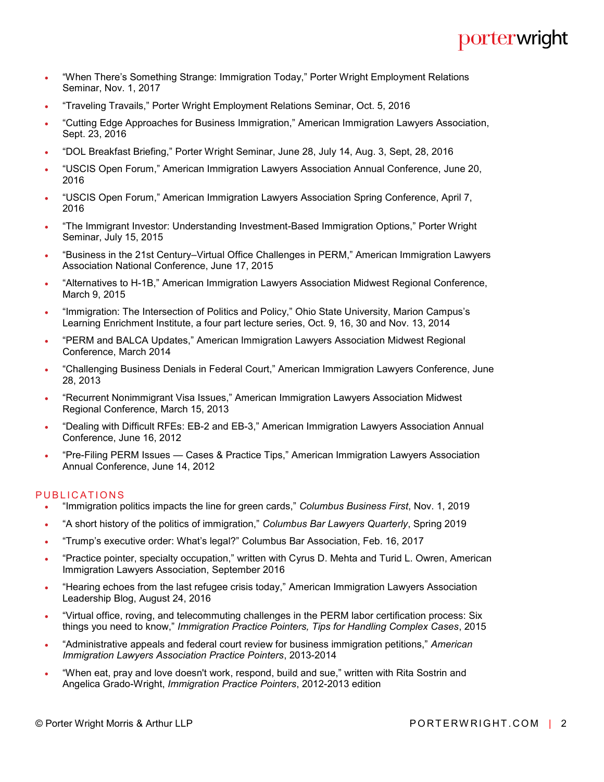# porterwright

- "When There's Something Strange: Immigration Today," Porter Wright Employment Relations Seminar, Nov. 1, 2017
- "Traveling Travails," Porter Wright Employment Relations Seminar, Oct. 5, 2016
- "Cutting Edge Approaches for Business Immigration," American Immigration Lawyers Association, Sept. 23, 2016
- "DOL Breakfast Briefing," Porter Wright Seminar, June 28, July 14, Aug. 3, Sept, 28, 2016
- "USCIS Open Forum," American Immigration Lawyers Association Annual Conference, June 20, 2016
- "USCIS Open Forum," American Immigration Lawyers Association Spring Conference, April 7, 2016
- "The Immigrant Investor: Understanding Investment-Based Immigration Options," Porter Wright Seminar, July 15, 2015
- "Business in the 21st Century–Virtual Office Challenges in PERM," American Immigration Lawyers Association National Conference, June 17, 2015
- "Alternatives to H-1B," American Immigration Lawyers Association Midwest Regional Conference, March 9, 2015
- "Immigration: The Intersection of Politics and Policy," Ohio State University, Marion Campus's Learning Enrichment Institute, a four part lecture series, Oct. 9, 16, 30 and Nov. 13, 2014
- "PERM and BALCA Updates," American Immigration Lawyers Association Midwest Regional Conference, March 2014
- "Challenging Business Denials in Federal Court," American Immigration Lawyers Conference, June 28, 2013
- "Recurrent Nonimmigrant Visa Issues," American Immigration Lawyers Association Midwest Regional Conference, March 15, 2013
- "Dealing with Difficult RFEs: EB-2 and EB-3," American Immigration Lawyers Association Annual Conference, June 16, 2012
- "Pre-Filing PERM Issues Cases & Practice Tips," American Immigration Lawyers Association Annual Conference, June 14, 2012

# PUBLICATIONS

- "Immigration politics impacts the line for green cards," *Columbus Business First*, Nov. 1, 2019
- "A short history of the politics of immigration," *Columbus Bar Lawyers Quarterly*, Spring 2019
- "Trump's executive order: What's legal?" Columbus Bar Association, Feb. 16, 2017
- "Practice pointer, specialty occupation," written with Cyrus D. Mehta and Turid L. Owren, American Immigration Lawyers Association, September 2016
- "Hearing echoes from the last refugee crisis today," American Immigration Lawyers Association Leadership Blog, August 24, 2016
- "Virtual office, roving, and telecommuting challenges in the PERM labor certification process: Six things you need to know," *Immigration Practice Pointers, Tips for Handling Complex Cases*, 2015
- "Administrative appeals and federal court review for business immigration petitions," *American Immigration Lawyers Association Practice Pointers*, 2013-2014
- "When eat, pray and love doesn't work, respond, build and sue," written with Rita Sostrin and Angelica Grado-Wright, *Immigration Practice Pointers*, 2012-2013 edition